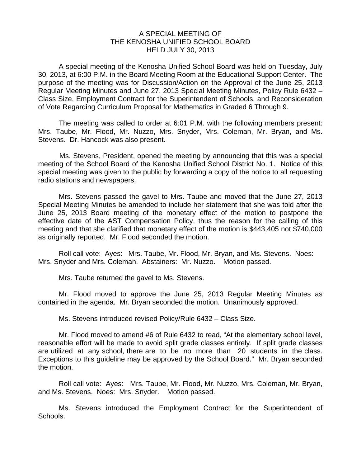## A SPECIAL MEETING OF THE KENOSHA UNIFIED SCHOOL BOARD HELD JULY 30, 2013

 A special meeting of the Kenosha Unified School Board was held on Tuesday, July 30, 2013, at 6:00 P.M. in the Board Meeting Room at the Educational Support Center. The purpose of the meeting was for Discussion/Action on the Approval of the June 25, 2013 Regular Meeting Minutes and June 27, 2013 Special Meeting Minutes, Policy Rule 6432 – Class Size, Employment Contract for the Superintendent of Schools, and Reconsideration of Vote Regarding Curriculum Proposal for Mathematics in Graded 6 Through 9.

 The meeting was called to order at 6:01 P.M. with the following members present: Mrs. Taube, Mr. Flood, Mr. Nuzzo, Mrs. Snyder, Mrs. Coleman, Mr. Bryan, and Ms. Stevens. Dr. Hancock was also present.

Ms. Stevens, President, opened the meeting by announcing that this was a special meeting of the School Board of the Kenosha Unified School District No. 1. Notice of this special meeting was given to the public by forwarding a copy of the notice to all requesting radio stations and newspapers.

 Mrs. Stevens passed the gavel to Mrs. Taube and moved that the June 27, 2013 Special Meeting Minutes be amended to include her statement that she was told after the June 25, 2013 Board meeting of the monetary effect of the motion to postpone the effective date of the AST Compensation Policy, thus the reason for the calling of this meeting and that she clarified that monetary effect of the motion is \$443,405 not \$740,000 as originally reported. Mr. Flood seconded the motion.

 Roll call vote: Ayes: Mrs. Taube, Mr. Flood, Mr. Bryan, and Ms. Stevens. Noes: Mrs. Snyder and Mrs. Coleman. Abstainers: Mr. Nuzzo. Motion passed.

Mrs. Taube returned the gavel to Ms. Stevens.

 Mr. Flood moved to approve the June 25, 2013 Regular Meeting Minutes as contained in the agenda. Mr. Bryan seconded the motion. Unanimously approved.

Ms. Stevens introduced revised Policy/Rule 6432 – Class Size.

 Mr. Flood moved to amend #6 of Rule 6432 to read, "At the elementary school level, reasonable effort will be made to avoid split grade classes entirely. If split grade classes are utilized at any school, there are to be no more than 20 students in the class. Exceptions to this guideline may be approved by the School Board." Mr. Bryan seconded the motion.

 Roll call vote: Ayes: Mrs. Taube, Mr. Flood, Mr. Nuzzo, Mrs. Coleman, Mr. Bryan, and Ms. Stevens. Noes: Mrs. Snyder. Motion passed.

 Ms. Stevens introduced the Employment Contract for the Superintendent of Schools.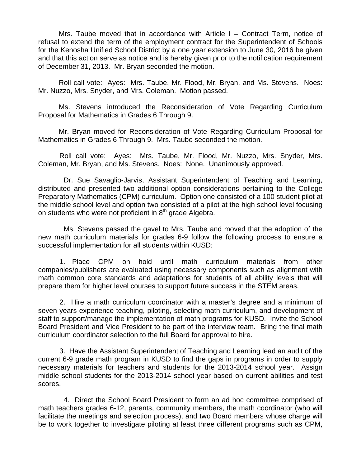Mrs. Taube moved that in accordance with Article I – Contract Term, notice of refusal to extend the term of the employment contract for the Superintendent of Schools for the Kenosha Unified School District by a one year extension to June 30, 2016 be given and that this action serve as notice and is hereby given prior to the notification requirement of December 31, 2013. Mr. Bryan seconded the motion.

 Roll call vote: Ayes: Mrs. Taube, Mr. Flood, Mr. Bryan, and Ms. Stevens. Noes: Mr. Nuzzo, Mrs. Snyder, and Mrs. Coleman. Motion passed.

 Ms. Stevens introduced the Reconsideration of Vote Regarding Curriculum Proposal for Mathematics in Grades 6 Through 9.

 Mr. Bryan moved for Reconsideration of Vote Regarding Curriculum Proposal for Mathematics in Grades 6 Through 9. Mrs. Taube seconded the motion.

Roll call vote: Ayes: Mrs. Taube, Mr. Flood, Mr. Nuzzo, Mrs. Snyder, Mrs. Coleman, Mr. Bryan, and Ms. Stevens. Noes: None. Unanimously approved.

 Dr. Sue Savaglio-Jarvis, Assistant Superintendent of Teaching and Learning, distributed and presented two additional option considerations pertaining to the College Preparatory Mathematics (CPM) curriculum. Option one consisted of a 100 student pilot at the middle school level and option two consisted of a pilot at the high school level focusing on students who were not proficient in  $8<sup>th</sup>$  grade Algebra.

 Ms. Stevens passed the gavel to Mrs. Taube and moved that the adoption of the new math curriculum materials for grades 6-9 follow the following process to ensure a successful implementation for all students within KUSD:

1. Place CPM on hold until math curriculum materials from other companies/publishers are evaluated using necessary components such as alignment with math common core standards and adaptations for students of all ability levels that will prepare them for higher level courses to support future success in the STEM areas.

2. Hire a math curriculum coordinator with a master's degree and a minimum of seven years experience teaching, piloting, selecting math curriculum, and development of staff to support/manage the implementation of math programs for KUSD. Invite the School Board President and Vice President to be part of the interview team. Bring the final math curriculum coordinator selection to the full Board for approval to hire.

3. Have the Assistant Superintendent of Teaching and Learning lead an audit of the current 6-9 grade math program in KUSD to find the gaps in programs in order to supply necessary materials for teachers and students for the 2013-2014 school year. Assign middle school students for the 2013-2014 school year based on current abilities and test scores.

 4. Direct the School Board President to form an ad hoc committee comprised of math teachers grades 6-12, parents, community members, the math coordinator (who will facilitate the meetings and selection process), and two Board members whose charge will be to work together to investigate piloting at least three different programs such as CPM,